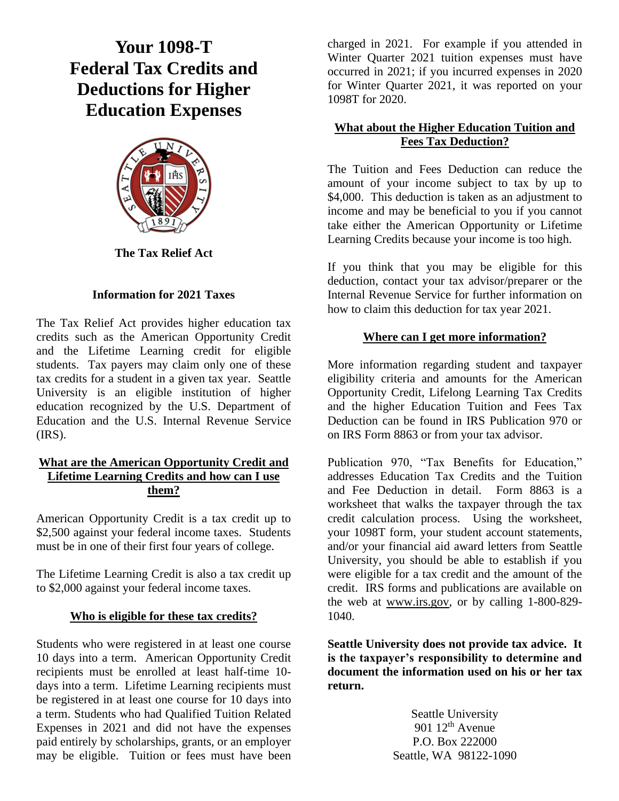# **Your 1098-T Federal Tax Credits and Deductions for Higher Education Expenses**



**The Tax Relief Act** 

### **Information for 2021 Taxes**

The Tax Relief Act provides higher education tax credits such as the American Opportunity Credit and the Lifetime Learning credit for eligible students. Tax payers may claim only one of these tax credits for a student in a given tax year. Seattle University is an eligible institution of higher education recognized by the U.S. Department of Education and the U.S. Internal Revenue Service  $(IRS)$ .

#### **What are the American Opportunity Credit and Lifetime Learning Credits and how can I use them?**

American Opportunity Credit is a tax credit up to \$2,500 against your federal income taxes. Students must be in one of their first four years of college.

The Lifetime Learning Credit is also a tax credit up to \$2,000 against your federal income taxes.

### **Who is eligible for these tax credits?**

Students who were registered in at least one course 10 days into a term. American Opportunity Credit recipients must be enrolled at least half-time 10 days into a term. Lifetime Learning recipients must be registered in at least one course for 10 days into a term. Students who had Qualified Tuition Related Expenses in 2021 and did not have the expenses paid entirely by scholarships, grants, or an employer may be eligible. Tuition or fees must have been charged in 2021. For example if you attended in Winter Quarter 2021 tuition expenses must have occurred in 2021; if you incurred expenses in 2020 for Winter Quarter 2021, it was reported on your 1098T for 2020.

### **What about the Higher Education Tuition and Fees Tax Deduction?**

The Tuition and Fees Deduction can reduce the amount of your income subject to tax by up to \$4,000. This deduction is taken as an adjustment to income and may be beneficial to you if you cannot take either the American Opportunity or Lifetime Learning Credits because your income is too high.

If you think that you may be eligible for this deduction, contact your tax advisor/preparer or the Internal Revenue Service for further information on how to claim this deduction for tax year 2021.

## **Where can I get more information?**

More information regarding student and taxpayer eligibility criteria and amounts for the American Opportunity Credit, Lifelong Learning Tax Credits and the higher Education Tuition and Fees Tax Deduction can be found in IRS Publication 970 or on IRS Form 8863 or from your tax advisor.

Publication 970, "Tax Benefits for Education," addresses Education Tax Credits and the Tuition and Fee Deduction in detail. Form 8863 is a worksheet that walks the taxpayer through the tax credit calculation process. Using the worksheet, your 1098T form, your student account statements, and/or your financial aid award letters from Seattle University, you should be able to establish if you were eligible for a tax credit and the amount of the credit. IRS forms and publications are available on the web at [www.irs.gov,](http://www.irs.gov/) or by calling 1-800-829- 1040.

**Seattle University does not provide tax advice. It is the taxpayer's responsibility to determine and document the information used on his or her tax return.**

> Seattle University 901  $12<sup>th</sup>$  Avenue P.O. Box 222000 Seattle, WA 98122-1090